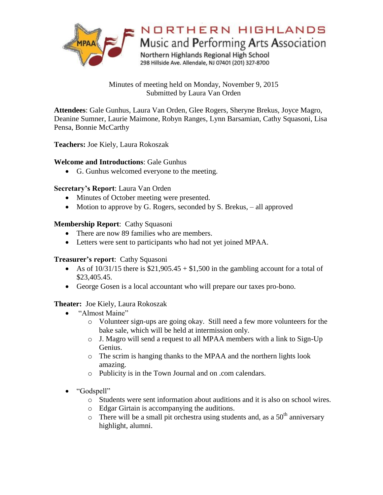

Minutes of meeting held on Monday, November 9, 2015 Submitted by Laura Van Orden

**Attendees**: Gale Gunhus, Laura Van Orden, Glee Rogers, Sheryne Brekus, Joyce Magro, Deanine Sumner, Laurie Maimone, Robyn Ranges, Lynn Barsamian, Cathy Squasoni, Lisa Pensa, Bonnie McCarthy

**Teachers:** Joe Kiely, Laura Rokoszak

## **Welcome and Introductions**: Gale Gunhus

G. Gunhus welcomed everyone to the meeting.

### **Secretary's Report**: Laura Van Orden

- Minutes of October meeting were presented.
- Motion to approve by G. Rogers, seconded by S. Brekus, all approved

#### **Membership Report**: Cathy Squasoni

- There are now 89 families who are members.
- Letters were sent to participants who had not yet joined MPAA.

#### **Treasurer's report**: Cathy Squasoni

- As of  $10/31/15$  there is  $$21,905.45 + $1,500$  in the gambling account for a total of \$23,405.45.
- George Gosen is a local accountant who will prepare our taxes pro-bono.

#### **Theater:** Joe Kiely, Laura Rokoszak

- "Almost Maine"
	- o Volunteer sign-ups are going okay. Still need a few more volunteers for the bake sale, which will be held at intermission only.
	- o J. Magro will send a request to all MPAA members with a link to Sign-Up Genius.
	- o The scrim is hanging thanks to the MPAA and the northern lights look amazing.
	- o Publicity is in the Town Journal and on .com calendars.
- "Godspell"
	- o Students were sent information about auditions and it is also on school wires.
	- o Edgar Girtain is accompanying the auditions.
	- $\circ$  There will be a small pit orchestra using students and, as a 50<sup>th</sup> anniversary highlight, alumni.